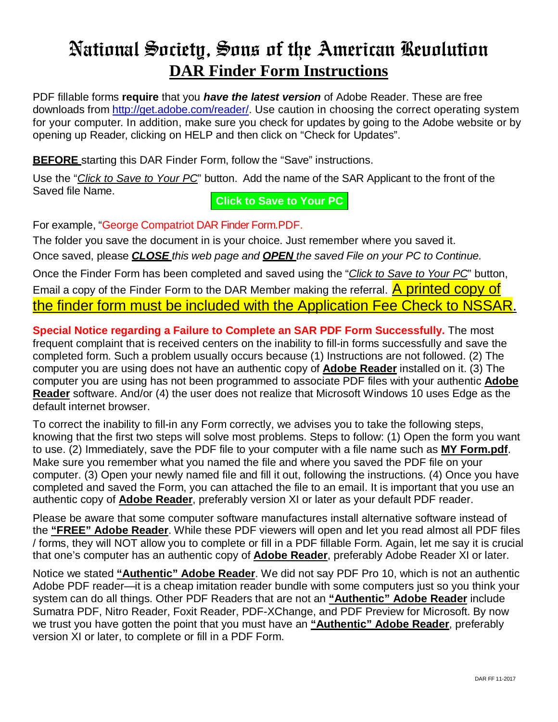## National Society, Sons of the American Revolution **DAR Finder Form Instructions**

PDF fillable forms **require** that you *have the latest version* of Adobe Reader. These are free downloads from [http://get.adobe.com/reader/.](http://get.adobe.com/reader/) Use caution in choosing the correct operating system for your computer. In addition, make sure you check for updates by going to the Adobe website or by opening up Reader, clicking on HELP and then click on "Check for Updates".

**BEFORE** starting this DAR Finder Form, follow the "Save" instructions.

Use the "*Click to Save to Your PC*" button. Add the name of the SAR Applicant to the front of the Saved file Name.

## **Click to Save to Your PC**

For example, "George Compatriot DAR Finder Form.PDF.

The folder you save the document in is your choice. Just remember where you saved it. Once saved, please *CLOSE this web page and OPEN the saved File on your PC to Continue.*

Once the Finder Form has been completed and saved using the "*Click to Save to Your PC*" button, Email a copy of the Finder Form to the DAR Member making the referral. A printed copy of the finder form must be included with the Application Fee Check to NSSAR.

**Special Notice regarding a Failure to Complete an SAR PDF Form Successfully.** The most frequent complaint that is received centers on the inability to fill-in forms successfully and save the completed form. Such a problem usually occurs because (1) Instructions are not followed. (2) The computer you are using does not have an authentic copy of **Adobe Reader** installed on it. (3) The computer you are using has not been programmed to associate PDF files with your authentic **Adobe Reader** software. And/or (4) the user does not realize that Microsoft Windows 10 uses Edge as the default internet browser.

To correct the inability to fill-in any Form correctly, we advises you to take the following steps, knowing that the first two steps will solve most problems. Steps to follow: (1) Open the form you want to use. (2) Immediately, save the PDF file to your computer with a file name such as **MY Form.pdf**. Make sure you remember what you named the file and where you saved the PDF file on your computer. (3) Open your newly named file and fill it out, following the instructions. (4) Once you have completed and saved the Form, you can attached the file to an email. It is important that you use an authentic copy of **Adobe Reader**, preferably version XI or later as your default PDF reader.

Please be aware that some computer software manufactures install alternative software instead of the **"FREE" Adobe Reader**. While these PDF viewers will open and let you read almost all PDF files / forms, they will NOT allow you to complete or fill in a PDF fillable Form. Again, let me say it is crucial that one's computer has an authentic copy of **Adobe Reader**, preferably Adobe Reader XI or later.

Notice we stated **"Authentic" Adobe Reader**. We did not say PDF Pro 10, which is not an authentic Adobe PDF reader—it is a cheap imitation reader bundle with some computers just so you think your system can do all things. Other PDF Readers that are not an **"Authentic" Adobe Reader** include Sumatra PDF, Nitro Reader, Foxit Reader, PDF-XChange, and PDF Preview for Microsoft. By now we trust you have gotten the point that you must have an **"Authentic" Adobe Reader**, preferably version XI or later, to complete or fill in a PDF Form.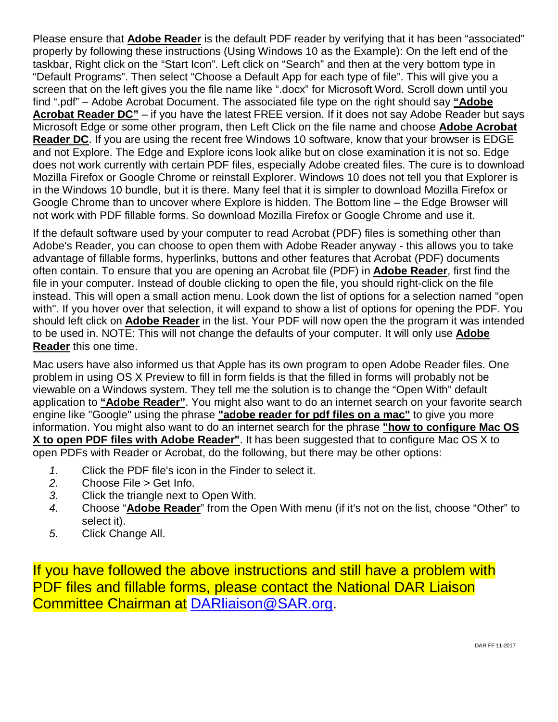Please ensure that **Adobe Reader** is the default PDF reader by verifying that it has been "associated" properly by following these instructions (Using Windows 10 as the Example): On the left end of the taskbar, Right click on the "Start Icon". Left click on "Search" and then at the very bottom type in "Default Programs". Then select "Choose a Default App for each type of file". This will give you a screen that on the left gives you the file name like ".docx" for Microsoft Word. Scroll down until you find ".pdf" – Adobe Acrobat Document. The associated file type on the right should say **"Adobe Acrobat Reader DC"** – if you have the latest FREE version. If it does not say Adobe Reader but says Microsoft Edge or some other program, then Left Click on the file name and choose **Adobe Acrobat Reader DC**. If you are using the recent free Windows 10 software, know that your browser is EDGE and not Explore. The Edge and Explore icons look alike but on close examination it is not so. Edge does not work currently with certain PDF files, especially Adobe created files. The cure is to download Mozilla Firefox or Google Chrome or reinstall Explorer. Windows 10 does not tell you that Explorer is in the Windows 10 bundle, but it is there. Many feel that it is simpler to download Mozilla Firefox or Google Chrome than to uncover where Explore is hidden. The Bottom line – the Edge Browser will not work with PDF fillable forms. So download Mozilla Firefox or Google Chrome and use it.

If the default software used by your computer to read Acrobat (PDF) files is something other than Adobe's Reader, you can choose to open them with Adobe Reader anyway - this allows you to take advantage of fillable forms, hyperlinks, buttons and other features that Acrobat (PDF) documents often contain. To ensure that you are opening an Acrobat file (PDF) in **Adobe Reader**, first find the file in your computer. Instead of double clicking to open the file, you should right-click on the file instead. This will open a small action menu. Look down the list of options for a selection named "open with". If you hover over that selection, it will expand to show a list of options for opening the PDF. You should left click on **Adobe Reader** in the list. Your PDF will now open the the program it was intended to be used in. NOTE: This will not change the defaults of your computer. It will only use **Adobe Reader** this one time.

Mac users have also informed us that Apple has its own program to open Adobe Reader files. One problem in using OS X Preview to fill in form fields is that the filled in forms will probably not be viewable on a Windows system. They tell me the solution is to change the "Open With" default application to **"Adobe Reader"**. You might also want to do an internet search on your favorite search engine like "Google" using the phrase **"adobe reader for pdf files on a mac"** to give you more information. You might also want to do an internet search for the phrase **"how to configure Mac OS X to open PDF files with Adobe Reader"**. It has been suggested that to configure Mac OS X to open PDFs with Reader or Acrobat, do the following, but there may be other options:

- *1.* Click the PDF file's icon in the Finder to select it.
- *2.* Choose File > Get Info.
- *3.* Click the triangle next to Open With.
- *4.* Choose "**Adobe Reader**" from the Open With menu (if it's not on the list, choose "Other" to select it).
- *5.* Click Change All.

If you have followed the above instructions and still have a problem with PDF files and fillable forms, please contact the National DAR Liaison Committee Chairman at [DARliaison@SAR.org.](mailto:DARliaison@SAR.org)